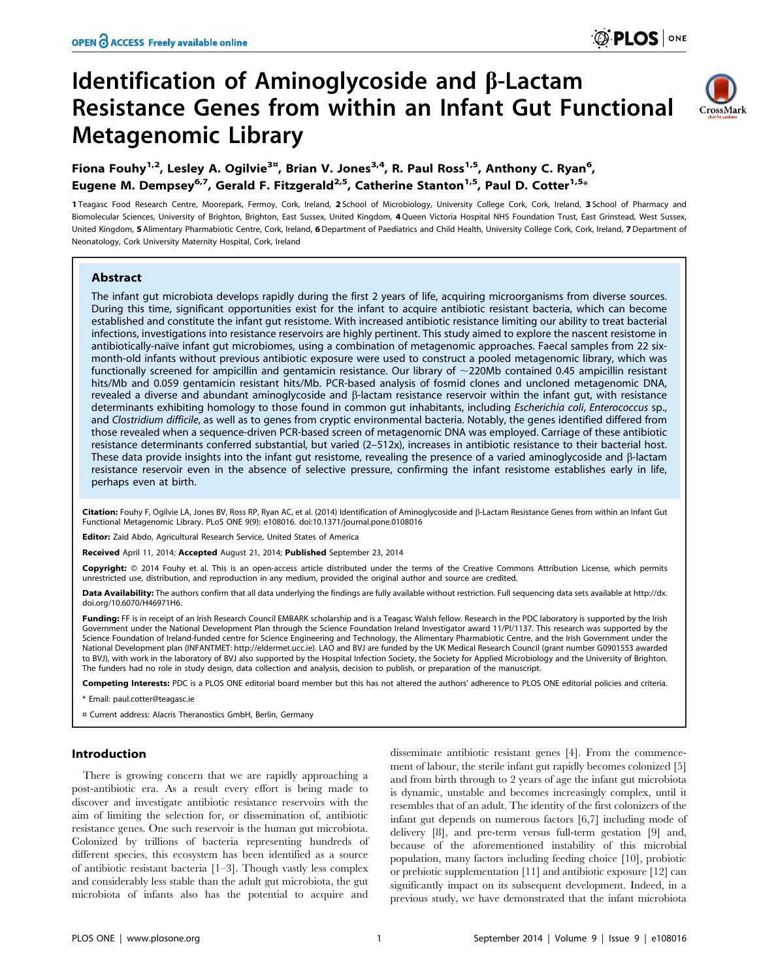# Identification of Aminoglycoside and  $\beta$ -Lactam Resistance Genes from within an Infant Gut Functional Metagenomic Library



# Fiona Fouhy<sup>1,2</sup>, Lesley A. Ogilvie<sup>3¤</sup>, Brian V. Jones<sup>3,4</sup>, R. Paul Ross<sup>1,5</sup>, Anthony C. Ryan<sup>6</sup>, Eugene M. Dempsey<sup>6,7</sup>, Gerald F. Fitzgerald<sup>2,5</sup>, Catherine Stanton<sup>1,5</sup>, Paul D. Cotter<sup>1,5\*</sup>

1 Teagasc Food Research Centre, Moorepark, Fermoy, Cork, Ireland, 2 School of Microbiology, University College Cork, Cork, Ireland, 3 School of Pharmacy and Biomolecular Sciences, University of Brighton, Brighton, East Sussex, United Kingdom, 4Queen Victoria Hospital NHS Foundation Trust, East Grinstead, West Sussex, United Kingdom, 5 Alimentary Pharmabiotic Centre, Cork, Ireland, 6 Department of Paediatrics and Child Health, University College Cork, Cork, Ireland, 7 Department of Neonatology, Cork University Maternity Hospital, Cork, Ireland

# Abstract

The infant gut microbiota develops rapidly during the first 2 years of life, acquiring microorganisms from diverse sources. During this time, significant opportunities exist for the infant to acquire antibiotic resistant bacteria, which can become established and constitute the infant gut resistome. With increased antibiotic resistance limiting our ability to treat bacterial infections, investigations into resistance reservoirs are highly pertinent. This study aimed to explore the nascent resistome in antibiotically-naïve infant gut microbiomes, using a combination of metagenomic approaches. Faecal samples from 22 sixmonth-old infants without previous antibiotic exposure were used to construct a pooled metagenomic library, which was functionally screened for ampicillin and gentamicin resistance. Our library of  $\sim$ 220Mb contained 0.45 ampicillin resistant hits/Mb and 0.059 gentamicin resistant hits/Mb. PCR-based analysis of fosmid clones and uncloned metagenomic DNA, revealed a diverse and abundant aminoglycoside and  $\beta$ -lactam resistance reservoir within the infant gut, with resistance determinants exhibiting homology to those found in common gut inhabitants, including Escherichia coli, Enterococcus sp., and Clostridium difficile, as well as to genes from cryptic environmental bacteria. Notably, the genes identified differed from those revealed when a sequence-driven PCR-based screen of metagenomic DNA was employed. Carriage of these antibiotic resistance determinants conferred substantial, but varied (2–512x), increases in antibiotic resistance to their bacterial host. These data provide insights into the infant gut resistome, revealing the presence of a varied aminoglycoside and  $\beta$ -lactam resistance reservoir even in the absence of selective pressure, confirming the infant resistome establishes early in life, perhaps even at birth.

Citation: Fouhy F, Ogilvie LA, Jones BV, Ross RP, Ryan AC, et al. (2014) Identification of Aminoglycoside and  $\beta$ -Lactam Resistance Genes from within an Infant Gut Functional Metagenomic Library. PLoS ONE 9(9): e108016. doi:10.1371/journal.pone.0108016

Editor: Zaid Abdo, Agricultural Research Service, United States of America

Received April 11, 2014; Accepted August 21, 2014; Published September 23, 2014

Copyright: © 2014 Fouhy et al. This is an open-access article distributed under the terms of the [Creative Commons Attribution License](http://creativecommons.org/licenses/by/4.0/), which permits unrestricted use, distribution, and reproduction in any medium, provided the original author and source are credited.

Data Availability: The authors confirm that all data underlying the findings are fully available without restriction. Full sequencing data sets available at [http://dx.](http://dx.doi.org/10.6070/H46971H6) [doi.org/10.6070/H46971H6.](http://dx.doi.org/10.6070/H46971H6)

Funding: FF is in receipt of an Irish Research Council EMBARK scholarship and is a Teagasc Walsh fellow. Research in the PDC laboratory is supported by the Irish Government under the National Development Plan through the Science Foundation Ireland Investigator award 11/PI/1137. This research was supported by the Science Foundation of Ireland-funded centre for Science Engineering and Technology, the Alimentary Pharmabiotic Centre, and the Irish Government under the National Development plan (INFANTMET:<http://eldermet.ucc.ie>). LAO and BVJ are funded by the UK Medical Research Council (grant number G0901553 awarded to BVJ), with work in the laboratory of BVJ also supported by the Hospital Infection Society, the Society for Applied Microbiology and the University of Brighton. The funders had no role in study design, data collection and analysis, decision to publish, or preparation of the manuscript.

Competing Interests: PDC is a PLOS ONE editorial board member but this has not altered the authors' adherence to PLOS ONE editorial policies and criteria.

\* Email: paul.cotter@teagasc.ie

¤ Current address: Alacris Theranostics GmbH, Berlin, Germany

# Introduction

There is growing concern that we are rapidly approaching a post-antibiotic era. As a result every effort is being made to discover and investigate antibiotic resistance reservoirs with the aim of limiting the selection for, or dissemination of, antibiotic resistance genes. One such reservoir is the human gut microbiota. Colonized by trillions of bacteria representing hundreds of different species, this ecosystem has been identified as a source of antibiotic resistant bacteria [1–3]. Though vastly less complex and considerably less stable than the adult gut microbiota, the gut microbiota of infants also has the potential to acquire and

disseminate antibiotic resistant genes [4]. From the commencement of labour, the sterile infant gut rapidly becomes colonized [5] and from birth through to 2 years of age the infant gut microbiota is dynamic, unstable and becomes increasingly complex, until it resembles that of an adult. The identity of the first colonizers of the infant gut depends on numerous factors [6,7] including mode of delivery [8], and pre-term versus full-term gestation [9] and, because of the aforementioned instability of this microbial population, many factors including feeding choice [10], probiotic or prebiotic supplementation [11] and antibiotic exposure [12] can significantly impact on its subsequent development. Indeed, in a previous study, we have demonstrated that the infant microbiota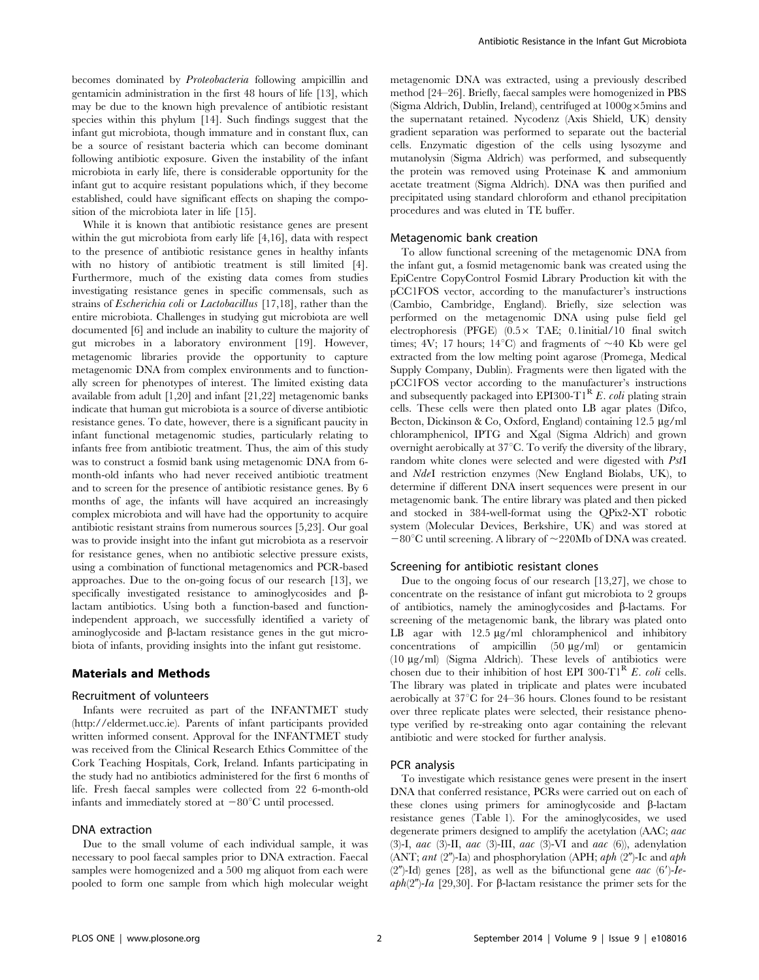becomes dominated by Proteobacteria following ampicillin and gentamicin administration in the first 48 hours of life [13], which may be due to the known high prevalence of antibiotic resistant species within this phylum [14]. Such findings suggest that the infant gut microbiota, though immature and in constant flux, can be a source of resistant bacteria which can become dominant following antibiotic exposure. Given the instability of the infant microbiota in early life, there is considerable opportunity for the infant gut to acquire resistant populations which, if they become established, could have significant effects on shaping the composition of the microbiota later in life [15].

While it is known that antibiotic resistance genes are present within the gut microbiota from early life [4,16], data with respect to the presence of antibiotic resistance genes in healthy infants with no history of antibiotic treatment is still limited [4]. Furthermore, much of the existing data comes from studies investigating resistance genes in specific commensals, such as strains of Escherichia coli or Lactobacillus [17,18], rather than the entire microbiota. Challenges in studying gut microbiota are well documented [6] and include an inability to culture the majority of gut microbes in a laboratory environment [19]. However, metagenomic libraries provide the opportunity to capture metagenomic DNA from complex environments and to functionally screen for phenotypes of interest. The limited existing data available from adult [1,20] and infant [21,22] metagenomic banks indicate that human gut microbiota is a source of diverse antibiotic resistance genes. To date, however, there is a significant paucity in infant functional metagenomic studies, particularly relating to infants free from antibiotic treatment. Thus, the aim of this study was to construct a fosmid bank using metagenomic DNA from 6 month-old infants who had never received antibiotic treatment and to screen for the presence of antibiotic resistance genes. By 6 months of age, the infants will have acquired an increasingly complex microbiota and will have had the opportunity to acquire antibiotic resistant strains from numerous sources [5,23]. Our goal was to provide insight into the infant gut microbiota as a reservoir for resistance genes, when no antibiotic selective pressure exists, using a combination of functional metagenomics and PCR-based approaches. Due to the on-going focus of our research [13], we specifically investigated resistance to aminoglycosides and blactam antibiotics. Using both a function-based and functionindependent approach, we successfully identified a variety of aminoglycoside and  $\beta$ -lactam resistance genes in the gut microbiota of infants, providing insights into the infant gut resistome.

# Materials and Methods

# Recruitment of volunteers

Infants were recruited as part of the INFANTMET study [\(http://eldermet.ucc.ie\)](http://eldermet.ucc.ie). Parents of infant participants provided written informed consent. Approval for the INFANTMET study was received from the Clinical Research Ethics Committee of the Cork Teaching Hospitals, Cork, Ireland. Infants participating in the study had no antibiotics administered for the first 6 months of life. Fresh faecal samples were collected from 22 6-month-old infants and immediately stored at  $-80^{\circ}$ C until processed.

# DNA extraction

Due to the small volume of each individual sample, it was necessary to pool faecal samples prior to DNA extraction. Faecal samples were homogenized and a 500 mg aliquot from each were pooled to form one sample from which high molecular weight

metagenomic DNA was extracted, using a previously described method [24–26]. Briefly, faecal samples were homogenized in PBS (Sigma Aldrich, Dublin, Ireland), centrifuged at  $1000g \times 5$ mins and the supernatant retained. Nycodenz (Axis Shield, UK) density gradient separation was performed to separate out the bacterial cells. Enzymatic digestion of the cells using lysozyme and mutanolysin (Sigma Aldrich) was performed, and subsequently the protein was removed using Proteinase K and ammonium acetate treatment (Sigma Aldrich). DNA was then purified and precipitated using standard chloroform and ethanol precipitation procedures and was eluted in TE buffer.

# Metagenomic bank creation

To allow functional screening of the metagenomic DNA from the infant gut, a fosmid metagenomic bank was created using the EpiCentre CopyControl Fosmid Library Production kit with the pCC1FOS vector, according to the manufacturer's instructions (Cambio, Cambridge, England). Briefly, size selection was performed on the metagenomic DNA using pulse field gel electrophoresis (PFGE)  $(0.5 \times$  TAE; 0.1initial/10 final switch times; 4V; 17 hours; 14°C) and fragments of  $\sim$ 40 Kb were gel extracted from the low melting point agarose (Promega, Medical Supply Company, Dublin). Fragments were then ligated with the pCC1FOS vector according to the manufacturer's instructions and subsequently packaged into EPI300-T1<sup>R</sup> E. coli plating strain cells. These cells were then plated onto LB agar plates (Difco, Becton, Dickinson & Co, Oxford, England) containing  $12.5 \mu g/ml$ chloramphenicol, IPTG and Xgal (Sigma Aldrich) and grown overnight aerobically at  $37^{\circ}$ C. To verify the diversity of the library, random white clones were selected and were digested with PstI and NdeI restriction enzymes (New England Biolabs, UK), to determine if different DNA insert sequences were present in our metagenomic bank. The entire library was plated and then picked and stocked in 384-well-format using the QPix2-XT robotic system (Molecular Devices, Berkshire, UK) and was stored at  $-80^{\circ}$ C until screening. A library of  $\sim$  220Mb of DNA was created.

#### Screening for antibiotic resistant clones

Due to the ongoing focus of our research [13,27], we chose to concentrate on the resistance of infant gut microbiota to 2 groups of antibiotics, namely the aminoglycosides and  $\beta$ -lactams. For screening of the metagenomic bank, the library was plated onto LB agar with 12.5 µg/ml chloramphenicol and inhibitory concentrations of ampicillin  $(50 \mu g/ml)$  or gentamicin (10 mg/ml) (Sigma Aldrich). These levels of antibiotics were chosen due to their inhibition of host EPI 300-T1<sup>R</sup> E. coli cells. The library was plated in triplicate and plates were incubated aerobically at  $37^{\circ}$ C for 24–36 hours. Clones found to be resistant over three replicate plates were selected, their resistance phenotype verified by re-streaking onto agar containing the relevant antibiotic and were stocked for further analysis.

#### PCR analysis

To investigate which resistance genes were present in the insert DNA that conferred resistance, PCRs were carried out on each of these clones using primers for aminoglycoside and  $\beta$ -lactam resistance genes (Table 1). For the aminoglycosides, we used degenerate primers designed to amplify the acetylation (AAC; aac (3)-I, aac (3)-II, aac (3)-III, aac (3)-VI and aac (6)), adenylation (ANT; ant  $(2'')$ -Ia) and phosphorylation (APH; aph  $(2'')$ -Ic and aph (2")-Id) genes [28], as well as the bifunctional gene aac  $(6')$ -Ieaph(2")-Ia [29,30]. For  $\beta$ -lactam resistance the primer sets for the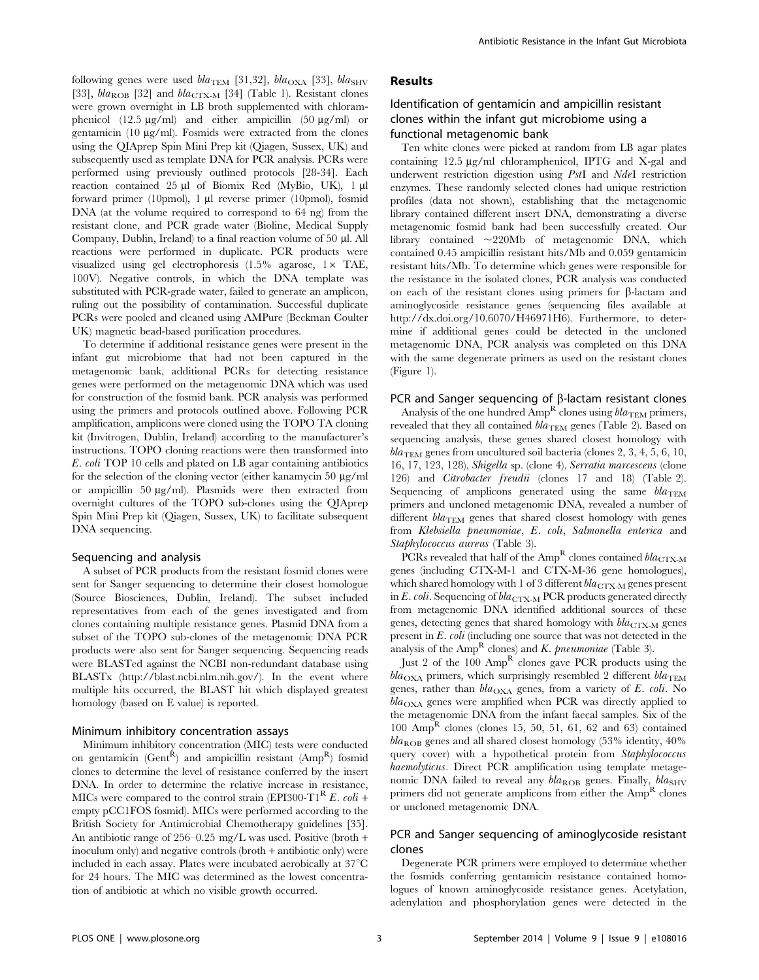following genes were used  $bla_{\text{TEM}}$  [31,32],  $bla_{\text{OXA}}$  [33],  $bla_{\text{SHV}}$ [33],  $bla_{ROB}$  [32] and  $bla_{CTX-M}$  [34] (Table 1). Resistant clones were grown overnight in LB broth supplemented with chloramphenicol  $(12.5 \text{ µg/ml})$  and either ampicillin  $(50 \text{ µg/ml})$  or gentamicin  $(10 \mu g/ml)$ . Fosmids were extracted from the clones using the QIAprep Spin Mini Prep kit (Qiagen, Sussex, UK) and subsequently used as template DNA for PCR analysis. PCRs were performed using previously outlined protocols [28-34]. Each reaction contained 25 µl of Biomix Red (MyBio, UK), 1 µl forward primer (10pmol), 1 ul reverse primer (10pmol), fosmid DNA (at the volume required to correspond to 64 ng) from the resistant clone, and PCR grade water (Bioline, Medical Supply Company, Dublin, Ireland) to a final reaction volume of 50 ul. All reactions were performed in duplicate. PCR products were visualized using gel electrophoresis  $(1.5\%$  agarose,  $1 \times$  TAE, 100V). Negative controls, in which the DNA template was substituted with PCR-grade water, failed to generate an amplicon, ruling out the possibility of contamination. Successful duplicate PCRs were pooled and cleaned using AMPure (Beckman Coulter UK) magnetic bead-based purification procedures.

To determine if additional resistance genes were present in the infant gut microbiome that had not been captured in the metagenomic bank, additional PCRs for detecting resistance genes were performed on the metagenomic DNA which was used for construction of the fosmid bank. PCR analysis was performed using the primers and protocols outlined above. Following PCR amplification, amplicons were cloned using the TOPO TA cloning kit (Invitrogen, Dublin, Ireland) according to the manufacturer's instructions. TOPO cloning reactions were then transformed into E. coli TOP 10 cells and plated on LB agar containing antibiotics for the selection of the cloning vector (either kanamycin 50  $\mu$ g/ml or ampicillin  $50 \text{ kg/ml}$ . Plasmids were then extracted from overnight cultures of the TOPO sub-clones using the QIAprep Spin Mini Prep kit (Qiagen, Sussex, UK) to facilitate subsequent DNA sequencing.

#### Sequencing and analysis

A subset of PCR products from the resistant fosmid clones were sent for Sanger sequencing to determine their closest homologue (Source Biosciences, Dublin, Ireland). The subset included representatives from each of the genes investigated and from clones containing multiple resistance genes. Plasmid DNA from a subset of the TOPO sub-clones of the metagenomic DNA PCR products were also sent for Sanger sequencing. Sequencing reads were BLASTed against the NCBI non-redundant database using BLASTx [\(http://blast.ncbi.nlm.nih.gov/\)](http://blast.ncbi.nlm.nih.gov/). In the event where multiple hits occurred, the BLAST hit which displayed greatest homology (based on E value) is reported.

#### Minimum inhibitory concentration assays

Minimum inhibitory concentration (MIC) tests were conducted on gentamicin ( $\text{Gent}^R$ ) and ampicillin resistant ( $\text{Amp}^R$ ) fosmid clones to determine the level of resistance conferred by the insert DNA. In order to determine the relative increase in resistance, MICs were compared to the control strain (EPI300-T1<sup>R</sup> E. coli + empty pCC1FOS fosmid). MICs were performed according to the British Society for Antimicrobial Chemotherapy guidelines [35]. An antibiotic range of 256–0.25 mg/L was used. Positive (broth + inoculum only) and negative controls (broth + antibiotic only) were included in each assay. Plates were incubated aerobically at  $37^{\circ}$ C for 24 hours. The MIC was determined as the lowest concentration of antibiotic at which no visible growth occurred.

# Results

# Identification of gentamicin and ampicillin resistant clones within the infant gut microbiome using a functional metagenomic bank

Ten white clones were picked at random from LB agar plates containing 12.5 µg/ml chloramphenicol, IPTG and X-gal and underwent restriction digestion using PstI and NdeI restriction enzymes. These randomly selected clones had unique restriction profiles (data not shown), establishing that the metagenomic library contained different insert DNA, demonstrating a diverse metagenomic fosmid bank had been successfully created. Our library contained  $\sim$ 220Mb of metagenomic DNA, which contained 0.45 ampicillin resistant hits/Mb and 0.059 gentamicin resistant hits/Mb. To determine which genes were responsible for the resistance in the isolated clones, PCR analysis was conducted on each of the resistant clones using primers for  $\beta$ -lactam and aminoglycoside resistance genes (sequencing files available at [http://dx.doi.org/10.6070/H46971H6\)](http://dx.doi.org/10.6070/H46971H6). Furthermore, to determine if additional genes could be detected in the uncloned metagenomic DNA, PCR analysis was completed on this DNA with the same degenerate primers as used on the resistant clones (Figure 1).

## PCR and Sanger sequencing of B-lactam resistant clones

Analysis of the one hundred  $\text{Amp}^R$  clones using  $bla_{\text{TEM}}$  primers, revealed that they all contained  $bla_{\text{TEM}}$  genes (Table 2). Based on sequencing analysis, these genes shared closest homology with  $bla_{\text{TEM}}$  genes from uncultured soil bacteria (clones 2, 3, 4, 5, 6, 10, 16, 17, 123, 128), Shigella sp. (clone 4), Serratia marcescens (clone 126) and Citrobacter freudii (clones 17 and 18) (Table 2). Sequencing of amplicons generated using the same  $bla_{\text{TEM}}$ primers and uncloned metagenomic DNA, revealed a number of different  $bla_{\text{TEM}}$  genes that shared closest homology with genes from Klebsiella pneumoniae, E. coli, Salmonella enterica and Staphylococcus aureus (Table 3).

PCRs revealed that half of the  $\mathrm{Amp}^\mathrm{R}$  clones contained  $bla_{\mathrm{CTX-M}}$ genes (including CTX-M-1 and CTX-M-36 gene homologues), which shared homology with 1 of 3 different  $bla_{\text{CTX-M}}$  genes present in E. coli. Sequencing of  $bla_{\text{CTX-M}}$  PCR products generated directly from metagenomic DNA identified additional sources of these genes, detecting genes that shared homology with  $bla_{CTX-M}$  genes present in E. coli (including one source that was not detected in the analysis of the  $Amp^R$  clones) and K. pneumoniae (Table 3).

Just 2 of the  $100 \text{ Amp}^R$  clones gave PCR products using the  $bla<sub>OXA</sub>$  primers, which surprisingly resembled 2 different  $bla<sub>TEM</sub>$ genes, rather than  $bla_{\text{OXA}}$  genes, from a variety of E. coli. No  $bla<sub>OXA</sub>$  genes were amplified when PCR was directly applied to the metagenomic DNA from the infant faecal samples. Six of the  $100 \text{ Amp}^R$  clones (clones 15, 50, 51, 61, 62 and 63) contained  $bla_{\text{ROB}}$  genes and all shared closest homology (53% identity, 40% query cover) with a hypothetical protein from Staphylococcus haemolyticus. Direct PCR amplification using template metagenomic DNA failed to reveal any  $bla_{\text{ROB}}$  genes. Finally,  $bla_{\text{SHV}}$ primers did not generate amplicons from either the Amp<sup>R</sup> clones or uncloned metagenomic DNA.

# PCR and Sanger sequencing of aminoglycoside resistant clones

Degenerate PCR primers were employed to determine whether the fosmids conferring gentamicin resistance contained homologues of known aminoglycoside resistance genes. Acetylation, adenylation and phosphorylation genes were detected in the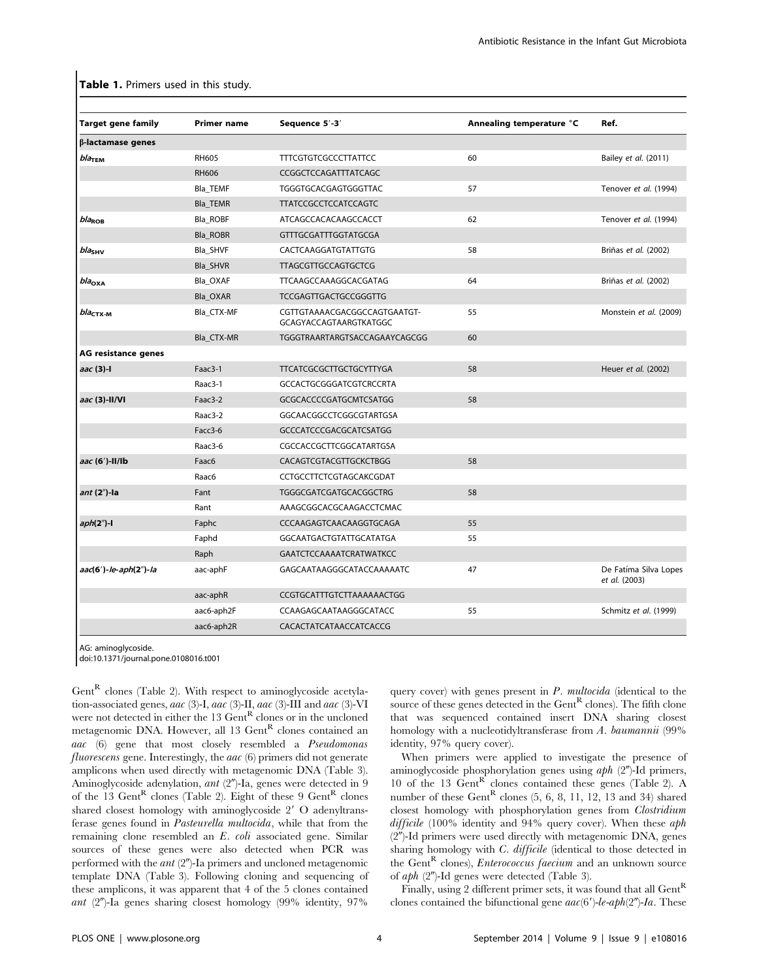Table 1. Primers used in this study.

| <b>Target gene family</b>         | <b>Primer name</b> | Sequence 5'-3'                                         | Annealing temperature °C | Ref.                                   |
|-----------------------------------|--------------------|--------------------------------------------------------|--------------------------|----------------------------------------|
| β-lactamase genes                 |                    |                                                        |                          |                                        |
| $bla_{\text{TEM}}$                | RH605              | <b>TTTCGTGTCGCCCTTATTCC</b>                            | 60                       | Bailey et al. (2011)                   |
|                                   | <b>RH606</b>       | CCGGCTCCAGATTTATCAGC                                   |                          |                                        |
|                                   | Bla_TEMF           | TGGGTGCACGAGTGGGTTAC                                   | 57                       | Tenover et al. (1994)                  |
|                                   | Bla_TEMR           | <b>TTATCCGCCTCCATCCAGTC</b>                            |                          |                                        |
| $bla_{ROB}$                       | <b>Bla_ROBF</b>    | ATCAGCCACACAAGCCACCT                                   | 62                       | Tenover et al. (1994)                  |
|                                   | <b>Bla ROBR</b>    | <b>GTTTGCGATTTGGTATGCGA</b>                            |                          |                                        |
| bla <sub>sHV</sub>                | Bla_SHVF           | CACTCAAGGATGTATTGTG                                    | 58                       | Briñas et al. (2002)                   |
|                                   | Bla_SHVR           | <b>TTAGCGTTGCCAGTGCTCG</b>                             |                          |                                        |
| bla <sub>OXA</sub>                | Bla OXAF           | TTCAAGCCAAAGGCACGATAG                                  | 64                       | Briñas et al. (2002)                   |
|                                   | Bla_OXAR           | <b>TCCGAGTTGACTGCCGGGTTG</b>                           |                          |                                        |
| <i><b>bla<sub>CTX-M</sub></b></i> | Bla CTX-MF         | CGTTGTAAAACGACGGCCAGTGAATGT-<br>GCAGYACCAGTAARGTKATGGC | 55                       | Monstein et al. (2009)                 |
|                                   | Bla_CTX-MR         | TGGGTRAARTARGTSACCAGAAYCAGCGG                          | 60                       |                                        |
| AG resistance genes               |                    |                                                        |                          |                                        |
| aac (3)-l                         | Faac3-1            | <b>TTCATCGCGCTTGCTGCYTTYGA</b>                         | 58                       | Heuer et al. (2002)                    |
|                                   | Raac3-1            | GCCACTGCGGGATCGTCRCCRTA                                |                          |                                        |
| <i>aac</i> (3)-II/VI              | Faac3-2            | GCGCACCCCGATGCMTCSATGG                                 | 58                       |                                        |
|                                   | Raac3-2            | GGCAACGGCCTCGGCGTARTGSA                                |                          |                                        |
|                                   | Facc3-6            | GCCCATCCCGACGCATCSATGG                                 |                          |                                        |
|                                   | Raac3-6            | CGCCACCGCTTCGGCATARTGSA                                |                          |                                        |
| aac (6')-II/Ib                    | Faac6              | CACAGTCGTACGTTGCKCTBGG                                 | 58                       |                                        |
|                                   | Raac6              | CCTGCCTTCTCGTAGCAKCGDAT                                |                          |                                        |
| <i>ant</i> (2")-la                | Fant               | TGGGCGATCGATGCACGGCTRG                                 | 58                       |                                        |
|                                   | Rant               | AAAGCGGCACGCAAGACCTCMAC                                |                          |                                        |
| $aph(2")-1$                       | Faphc              | CCCAAGAGTCAACAAGGTGCAGA                                | 55                       |                                        |
|                                   | Faphd              | GGCAATGACTGTATTGCATATGA                                | 55                       |                                        |
|                                   | Raph               | GAATCTCCAAAATCRATWATKCC                                |                          |                                        |
| aac(6')-le-aph(2")-la             | aac-aphF           | GAGCAATAAGGGCATACCAAAAATC                              | 47                       | De Fatíma Silva Lopes<br>et al. (2003) |
|                                   | aac-aphR           | CCGTGCATTTGTCTTAAAAAACTGG                              |                          |                                        |
|                                   | aac6-aph2F         | CCAAGAGCAATAAGGGCATACC                                 | 55                       | Schmitz et al. (1999)                  |
|                                   | aac6-aph2R         | CACACTATCATAACCATCACCG                                 |                          |                                        |

AG: aminoglycoside.

doi:10.1371/journal.pone.0108016.t001

 $\text{Gent}^R$  clones (Table 2). With respect to aminoglycoside acetylation-associated genes, aac (3)-I, aac (3)-II, aac (3)-III and aac (3)-VI were not detected in either the 13 Gent<sup>R</sup> clones or in the uncloned metagenomic DNA. However, all 13 Gent<sup>R</sup> clones contained an aac (6) gene that most closely resembled a Pseudomonas fluorescens gene. Interestingly, the aac (6) primers did not generate amplicons when used directly with metagenomic DNA (Table 3). Aminoglycoside adenylation,  $ant$   $(2")$ -Ia, genes were detected in 9 of the 13 Gent<sup>R</sup> clones (Table 2). Eight of these 9 Gent<sup>R</sup> clones shared closest homology with aminoglycoside  $2'$  O adenyltransferase genes found in Pasteurella multocida, while that from the remaining clone resembled an E. coli associated gene. Similar sources of these genes were also detected when PCR was performed with the  $ant$   $(2")$ -Ia primers and uncloned metagenomic template DNA (Table 3). Following cloning and sequencing of these amplicons, it was apparent that 4 of the 5 clones contained ant  $(2'')$ -Ia genes sharing closest homology  $(99\%$  identity,  $97\%$ 

query cover) with genes present in  $P$ . multocida (identical to the source of these genes detected in the  $\text{Gent}^R$  clones). The fifth clone that was sequenced contained insert DNA sharing closest homology with a nucleotidyltransferase from A. baumannii (99% identity, 97% query cover).

When primers were applied to investigate the presence of aminoglycoside phosphorylation genes using  $aph$  (2")-Id primers, 10 of the 13  $\text{Gent}^R$  clones contained these genes (Table 2). A number of these  $\text{Gent}^R$  clones  $(5, 6, 8, 11, 12, 13 \text{ and } 34)$  shared closest homology with phosphorylation genes from Clostridium difficile (100% identity and 94% query cover). When these aph  $(2<sup>n</sup>)$ -Id primers were used directly with metagenomic DNA, genes sharing homology with C. difficile (identical to those detected in the Gent<sup>R</sup> clones), *Enterococcus faecium* and an unknown source of  $aph$  (2")-Id genes were detected (Table 3).

Finally, using 2 different primer sets, it was found that all  $\text{Gent}^R$ clones contained the bifunctional gene  $aac(6')$ -le-aph(2")-Ia. These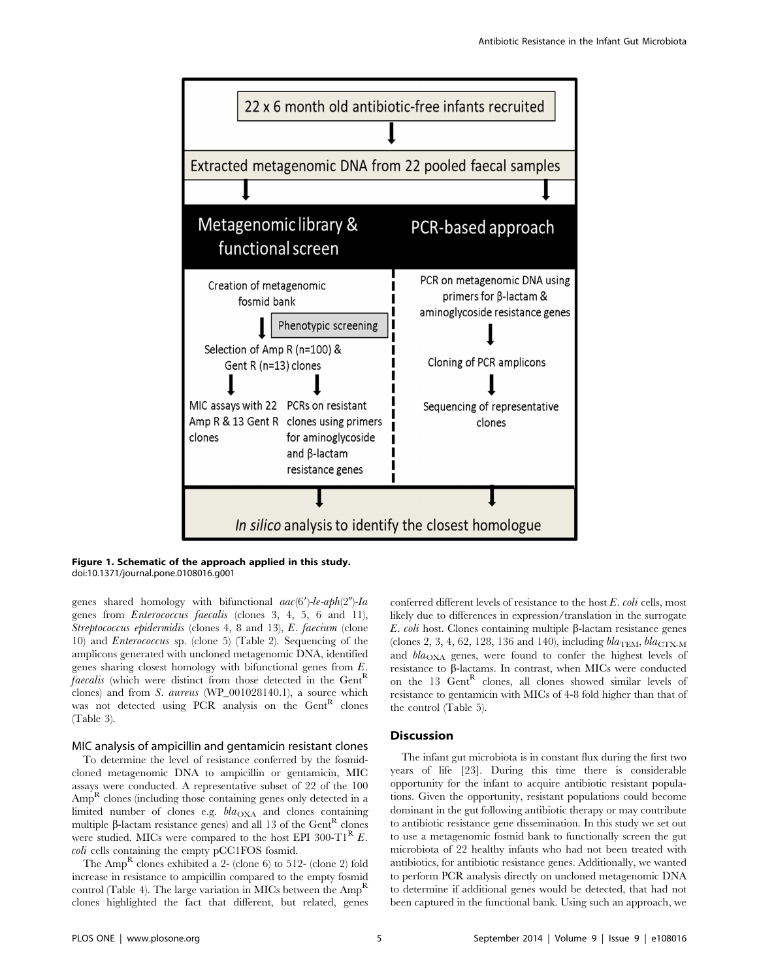

Figure 1. Schematic of the approach applied in this study. doi:10.1371/journal.pone.0108016.g001

genes shared homology with bifunctional  $aac(6')$ -le-aph(2")-Ia genes from Enterococcus faecalis (clones 3, 4, 5, 6 and 11), Streptococcus epidermidis (clones 4, 8 and 13), E. faecium (clone 10) and Enterococcus sp. (clone 5) (Table 2). Sequencing of the amplicons generated with uncloned metagenomic DNA, identified genes sharing closest homology with bifunctional genes from E. faecalis (which were distinct from those detected in the Gent<sup>R</sup> clones) and from S. aureus (WP\_001028140.1), a source which was not detected using PCR analysis on the  $\text{Gent}^R$  clones (Table 3).

#### MIC analysis of ampicillin and gentamicin resistant clones

To determine the level of resistance conferred by the fosmidcloned metagenomic DNA to ampicillin or gentamicin, MIC assays were conducted. A representative subset of 22 of the 100 Amp<sup>R</sup> clones (including those containing genes only detected in a limited number of clones e.g.  $bla_{\text{OXA}}$  and clones containing multiple  $\beta$ -lactam resistance genes) and all 13 of the Gent<sup>R</sup> clones were studied. MICs were compared to the host EPI 300-T1<sup>R</sup>  $E$ . coli cells containing the empty pCC1FOS fosmid.

The  $Amp^R$  clones exhibited a 2- (clone 6) to 512- (clone 2) fold increase in resistance to ampicillin compared to the empty fosmid control (Table 4). The large variation in MICs between the  $Amp^R$ clones highlighted the fact that different, but related, genes conferred different levels of resistance to the host E. coli cells, most likely due to differences in expression/translation in the surrogate  $E.$  coli host. Clones containing multiple  $\beta$ -lactam resistance genes (clones 2, 3, 4, 62, 128, 136 and 140), including  $bla_{\text{TEM}}, bla_{\text{CTX-M}}$ and  $bla_{\text{OXA}}$  genes, were found to confer the highest levels of resistance to  $\beta$ -lactams. In contrast, when MICs were conducted on the 13 Gent<sup>R</sup> clones, all clones showed similar levels of resistance to gentamicin with MICs of 4-8 fold higher than that of the control (Table 5).

# **Discussion**

The infant gut microbiota is in constant flux during the first two years of life [23]. During this time there is considerable opportunity for the infant to acquire antibiotic resistant populations. Given the opportunity, resistant populations could become dominant in the gut following antibiotic therapy or may contribute to antibiotic resistance gene dissemination. In this study we set out to use a metagenomic fosmid bank to functionally screen the gut microbiota of 22 healthy infants who had not been treated with antibiotics, for antibiotic resistance genes. Additionally, we wanted to perform PCR analysis directly on uncloned metagenomic DNA to determine if additional genes would be detected, that had not been captured in the functional bank. Using such an approach, we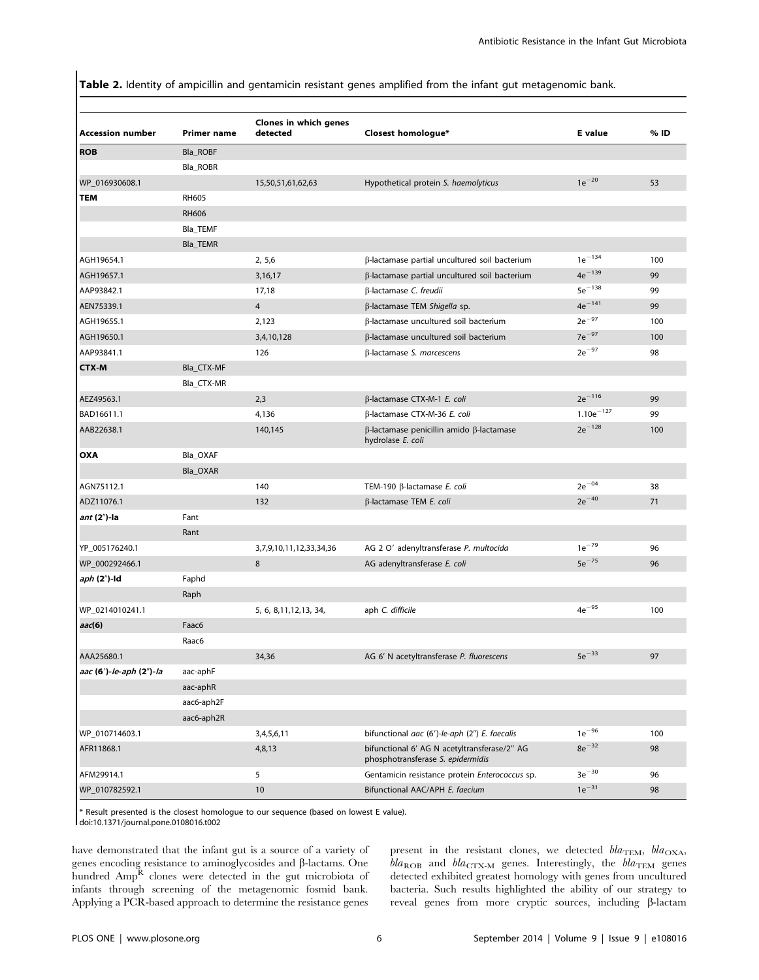Table 2. Identity of ampicillin and gentamicin resistant genes amplified from the infant gut metagenomic bank.

| <b>Accession number</b>                 | Primer name     | Clones in which genes<br>detected | Closest homologue*                                                                | E value        | % ID |
|-----------------------------------------|-----------------|-----------------------------------|-----------------------------------------------------------------------------------|----------------|------|
| <b>ROB</b>                              | <b>Bla_ROBF</b> |                                   |                                                                                   |                |      |
|                                         | Bla_ROBR        |                                   |                                                                                   |                |      |
| WP 016930608.1                          |                 | 15,50,51,61,62,63                 | Hypothetical protein S. haemolyticus                                              | $1e^{-20}$     | 53   |
| TEM                                     | <b>RH605</b>    |                                   |                                                                                   |                |      |
|                                         | RH606           |                                   |                                                                                   |                |      |
|                                         | Bla_TEMF        |                                   |                                                                                   |                |      |
|                                         | Bla_TEMR        |                                   |                                                                                   |                |      |
| AGH19654.1                              |                 | 2, 5, 6                           | β-lactamase partial uncultured soil bacterium                                     | $1e^{-134}$    | 100  |
| AGH19657.1                              |                 | 3,16,17                           | $\beta$ -lactamase partial uncultured soil bacterium                              | $4e^{-139}$    | 99   |
| AAP93842.1                              |                 | 17,18                             | β-lactamase C. freudii                                                            | $5e^{-138}$    | 99   |
| AEN75339.1                              |                 | $\overline{4}$                    | β-lactamase TEM Shigella sp.                                                      | $4e^{-141}$    | 99   |
| AGH19655.1                              |                 | 2,123                             | β-lactamase uncultured soil bacterium                                             | $2e^{-97}$     | 100  |
| AGH19650.1                              |                 | 3,4,10,128                        | β-lactamase uncultured soil bacterium                                             | $7e^{-97}$     | 100  |
| AAP93841.1                              |                 | 126                               | β-lactamase S. marcescens                                                         | $2e^{-97}$     | 98   |
| <b>CTX-M</b>                            | Bla_CTX-MF      |                                   |                                                                                   |                |      |
|                                         | Bla_CTX-MR      |                                   |                                                                                   |                |      |
| AEZ49563.1                              |                 | 2,3                               | β-lactamase CTX-M-1 E. coli                                                       | $2e^{-116}$    | 99   |
| BAD16611.1                              |                 | 4,136                             | β-lactamase CTX-M-36 E. coli                                                      | $1.10e^{-127}$ | 99   |
| AAB22638.1                              |                 | 140,145                           | $\beta$ -lactamase penicillin amido $\beta$ -lactamase<br>hydrolase E. coli       | $2e^{-128}$    | 100  |
| <b>OXA</b>                              | Bla_OXAF        |                                   |                                                                                   |                |      |
|                                         | Bla_OXAR        |                                   |                                                                                   |                |      |
| AGN75112.1                              |                 | 140                               | TEM-190 $\beta$ -lactamase E. coli                                                | $2e^{-04}$     | 38   |
| ADZ11076.1                              |                 | 132                               | β-lactamase TEM E. coli                                                           | $2e^{-40}$     | 71   |
| ant (2")-la                             | Fant            |                                   |                                                                                   |                |      |
|                                         | Rant            |                                   |                                                                                   |                |      |
| YP_005176240.1                          |                 | 3,7,9,10,11,12,33,34,36           | AG 2 O' adenyltransferase P. multocida                                            | $1e^{-79}$     | 96   |
| WP_000292466.1                          |                 | 8                                 | AG adenyltransferase E. coli                                                      | $5e^{-75}$     | 96   |
| <i>aph</i> (2″)-Id                      | Faphd           |                                   |                                                                                   |                |      |
|                                         | Raph            |                                   |                                                                                   |                |      |
| WP_0214010241.1                         |                 | 5, 6, 8, 11, 12, 13, 34,          | aph C. difficile                                                                  | $4e^{-95}$     | 100  |
| aac(6)                                  | Faac6           |                                   |                                                                                   |                |      |
|                                         | Raac6           |                                   |                                                                                   |                |      |
| AAA25680.1                              |                 | 34,36                             | AG 6' N acetyltransferase P. fluorescens                                          | $5e^{-33}$     | 97   |
| aac (6')- <i>le-aph</i> (2")- <i>la</i> | aac-aphF        |                                   |                                                                                   |                |      |
|                                         | aac-aphR        |                                   |                                                                                   |                |      |
|                                         | aac6-aph2F      |                                   |                                                                                   |                |      |
|                                         | aac6-aph2R      |                                   |                                                                                   |                |      |
| WP 010714603.1                          |                 | 3,4,5,6,11                        | bifunctional aac (6')-le-aph (2") E. faecalis                                     | $1e^{-96}$     | 100  |
| AFR11868.1                              |                 | 4,8,13                            | bifunctional 6' AG N acetyltransferase/2" AG<br>phosphotransferase S. epidermidis | $8e^{-32}$     | 98   |
| AFM29914.1                              |                 | 5                                 | Gentamicin resistance protein Enterococcus sp.                                    | $3e^{-30}$     | 96   |
| WP 010782592.1                          |                 | 10                                | Bifunctional AAC/APH E. faecium                                                   | $1e^{-31}$     | 98   |

\* Result presented is the closest homologue to our sequence (based on lowest E value).

doi:10.1371/journal.pone.0108016.t002

have demonstrated that the infant gut is a source of a variety of genes encoding resistance to aminoglycosides and  $\beta$ -lactams. One hundred Amp<sup>R</sup> clones were detected in the gut microbiota of infants through screening of the metagenomic fosmid bank. Applying a PCR-based approach to determine the resistance genes

present in the resistant clones, we detected  $bla_{\mathrm{TEM}}, \; bla_{\mathrm{OXA}},$  $bla_{\text{ROB}}$  and  $bla_{\text{CTX-M}}$  genes. Interestingly, the  $bla_{\text{TEM}}$  genes detected exhibited greatest homology with genes from uncultured bacteria. Such results highlighted the ability of our strategy to reveal genes from more cryptic sources, including  $\beta$ -lactam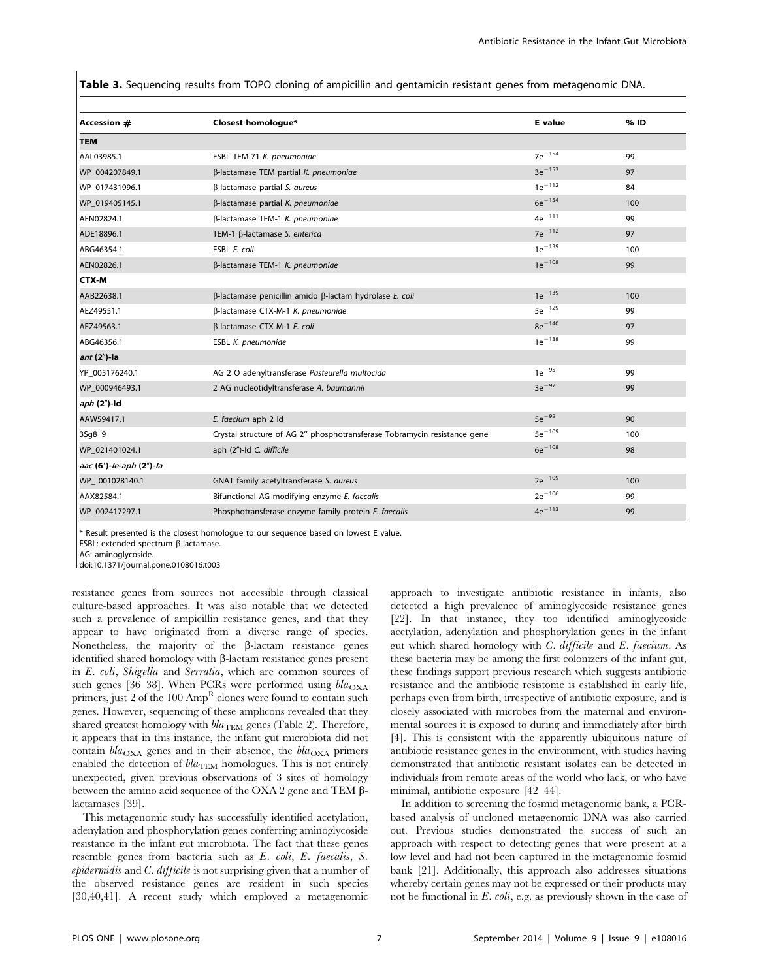Table 3. Sequencing results from TOPO cloning of ampicillin and gentamicin resistant genes from metagenomic DNA.

| $ $ Accession $#$       | Closest homologue*                                                       | E value     | $%$ ID |
|-------------------------|--------------------------------------------------------------------------|-------------|--------|
| <b>TEM</b>              |                                                                          |             |        |
| AAL03985.1              | ESBL TEM-71 K. pneumoniae                                                | $7e^{-154}$ | 99     |
| WP 004207849.1          | β-lactamase TEM partial K. pneumoniae                                    | $3e^{-153}$ | 97     |
| WP 017431996.1          | B-lactamase partial S. aureus                                            | $1e^{-112}$ | 84     |
| WP_019405145.1          | B-lactamase partial K. pneumoniae                                        | $6e^{-154}$ | 100    |
| AEN02824.1              | β-lactamase TEM-1 K. pneumoniae                                          | $4e^{-111}$ | 99     |
| ADE18896.1              | TEM-1 β-lactamase S. enterica                                            | $7e^{-112}$ | 97     |
| ABG46354.1              | ESBL E. coli                                                             | $1e^{-139}$ | 100    |
| AEN02826.1              | β-lactamase TEM-1 K. pneumoniae                                          | $1e^{-108}$ | 99     |
| <b>CTX-M</b>            |                                                                          |             |        |
| AAB22638.1              | β-lactamase penicillin amido β-lactam hydrolase E. coli                  | $1e^{-139}$ | 100    |
| AEZ49551.1              | β-lactamase CTX-M-1 K. pneumoniae                                        | $5e^{-129}$ | 99     |
| AEZ49563.1              | β-lactamase CTX-M-1 E. coli                                              | $8e^{-140}$ | 97     |
| ABG46356.1              | ESBL K. pneumoniae                                                       | $1e^{-138}$ | 99     |
| $ant(2")$ -la           |                                                                          |             |        |
| YP_005176240.1          | AG 2 O adenyltransferase Pasteurella multocida                           | $1e^{-95}$  | 99     |
| WP_000946493.1          | 2 AG nucleotidyltransferase A. baumannii                                 | $3e^{-97}$  | 99     |
| aph (2")-Id             |                                                                          |             |        |
| AAW59417.1              | E. faecium aph 2 Id                                                      | $5e^{-98}$  | 90     |
| 3Sq8_9                  | Crystal structure of AG 2" phosphotransferase Tobramycin resistance gene | $5e^{-109}$ | 100    |
| WP_021401024.1          | aph (2")-Id C. difficile                                                 | $6e^{-108}$ | 98     |
| aac (6')-le-aph (2")-la |                                                                          |             |        |
| WP_001028140.1          | GNAT family acetyltransferase S. aureus                                  | $2e^{-109}$ | 100    |
| AAX82584.1              | Bifunctional AG modifying enzyme E. faecalis                             | $2e^{-106}$ | 99     |
| WP 002417297.1          | Phosphotransferase enzyme family protein E. faecalis                     | $4e^{-113}$ | 99     |
|                         |                                                                          |             |        |

\* Result presented is the closest homologue to our sequence based on lowest E value.

ESBL: extended spectrum  $\beta$ -lactamase.

AG: aminoglycoside.

doi:10.1371/journal.pone.0108016.t003

resistance genes from sources not accessible through classical culture-based approaches. It was also notable that we detected such a prevalence of ampicillin resistance genes, and that they appear to have originated from a diverse range of species. Nonetheless, the majority of the  $\beta$ -lactam resistance genes identified shared homology with  $\beta$ -lactam resistance genes present in E. coli, Shigella and Serratia, which are common sources of such genes [36–38]. When PCRs were performed using  $bla_{\text{OXA}}$ primers, just 2 of the 100 Amp<sup>R</sup> clones were found to contain such genes. However, sequencing of these amplicons revealed that they shared greatest homology with  $bla_{\text{TEM}}$  genes (Table 2). Therefore, it appears that in this instance, the infant gut microbiota did not contain  $bla_{\text{OXA}}$  genes and in their absence, the  $bla_{\text{OXA}}$  primers enabled the detection of  $bla_{\text{TEM}}$  homologues. This is not entirely unexpected, given previous observations of 3 sites of homology between the amino acid sequence of the OXA 2 gene and TEM  $\beta$ lactamases [39].

This metagenomic study has successfully identified acetylation, adenylation and phosphorylation genes conferring aminoglycoside resistance in the infant gut microbiota. The fact that these genes resemble genes from bacteria such as E. coli, E. faecalis, S.  $epidermidis$  and  $C.$  difficile is not surprising given that a number of the observed resistance genes are resident in such species [30,40,41]. A recent study which employed a metagenomic approach to investigate antibiotic resistance in infants, also detected a high prevalence of aminoglycoside resistance genes [22]. In that instance, they too identified aminoglycoside acetylation, adenylation and phosphorylation genes in the infant gut which shared homology with C. difficile and E. faecium. As these bacteria may be among the first colonizers of the infant gut, these findings support previous research which suggests antibiotic resistance and the antibiotic resistome is established in early life, perhaps even from birth, irrespective of antibiotic exposure, and is closely associated with microbes from the maternal and environmental sources it is exposed to during and immediately after birth [4]. This is consistent with the apparently ubiquitous nature of antibiotic resistance genes in the environment, with studies having demonstrated that antibiotic resistant isolates can be detected in individuals from remote areas of the world who lack, or who have minimal, antibiotic exposure [42–44].

In addition to screening the fosmid metagenomic bank, a PCRbased analysis of uncloned metagenomic DNA was also carried out. Previous studies demonstrated the success of such an approach with respect to detecting genes that were present at a low level and had not been captured in the metagenomic fosmid bank [21]. Additionally, this approach also addresses situations whereby certain genes may not be expressed or their products may not be functional in  $E.$  coli, e.g. as previously shown in the case of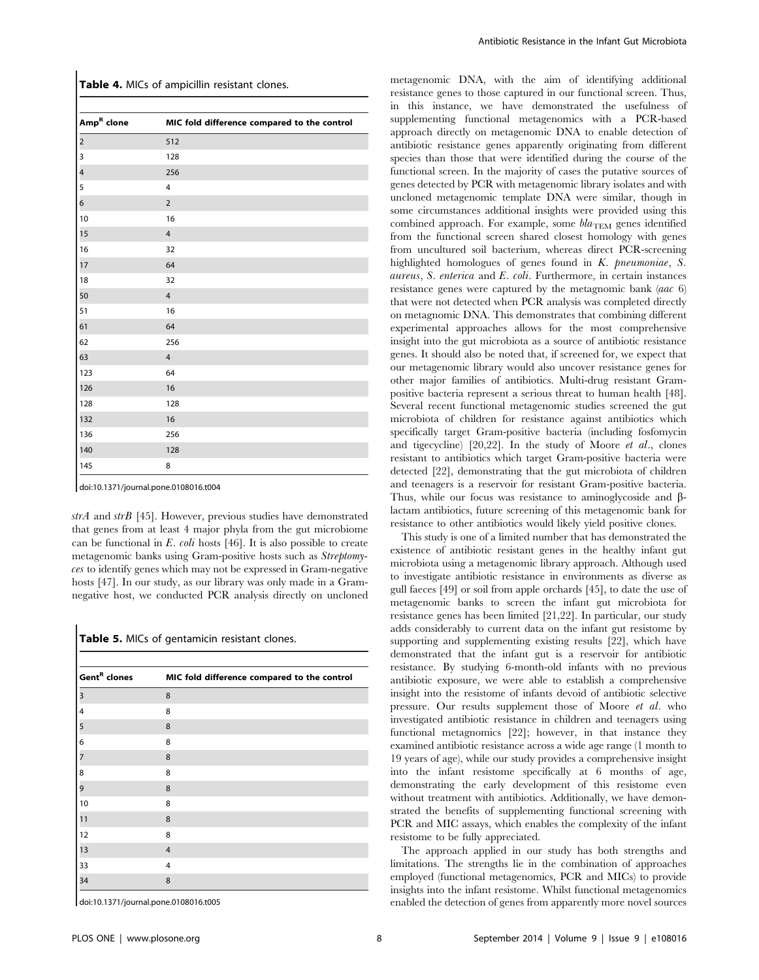| <b>Table 4.</b> MICs of ampicillin resistant clones. |
|------------------------------------------------------|
|------------------------------------------------------|

| $\mathsf{Amp}^\mathsf{R}$ clone | MIC fold difference compared to the control |
|---------------------------------|---------------------------------------------|
| $\overline{c}$                  | 512                                         |
| 3                               | 128                                         |
| $\overline{\mathbf{4}}$         | 256                                         |
| 5                               | $\overline{4}$                              |
| 6                               | $\overline{2}$                              |
| 10                              | 16                                          |
| 15                              | $\overline{4}$                              |
| 16                              | 32                                          |
| 17                              | 64                                          |
| 18                              | 32                                          |
| 50                              | $\overline{4}$                              |
| 51                              | 16                                          |
| 61                              | 64                                          |
| 62                              | 256                                         |
| 63                              | $\overline{4}$                              |
| 123                             | 64                                          |
| 126                             | 16                                          |
| 128                             | 128                                         |
| 132                             | 16                                          |
| 136                             | 256                                         |
| 140                             | 128                                         |
| 145                             | 8                                           |

doi:10.1371/journal.pone.0108016.t004

strA and strB [45]. However, previous studies have demonstrated that genes from at least 4 major phyla from the gut microbiome can be functional in  $E.$  coli hosts [46]. It is also possible to create metagenomic banks using Gram-positive hosts such as Streptomyces to identify genes which may not be expressed in Gram-negative hosts [47]. In our study, as our library was only made in a Gramnegative host, we conducted PCR analysis directly on uncloned

Table 5. MICs of gentamicin resistant clones.

| Gent <sup>R</sup> clones | MIC fold difference compared to the control |
|--------------------------|---------------------------------------------|
| 3                        | 8                                           |
| 4                        | 8                                           |
| 5                        | 8                                           |
| 6                        | 8                                           |
| 7                        | 8                                           |
| 8                        | 8                                           |
| 9                        | 8                                           |
| 10                       | 8                                           |
| 11                       | 8                                           |
| 12                       | 8                                           |
| 13                       | $\overline{4}$                              |
| 33                       | $\overline{4}$                              |
| 34                       | 8                                           |

doi:10.1371/journal.pone.0108016.t005

metagenomic DNA, with the aim of identifying additional resistance genes to those captured in our functional screen. Thus, in this instance, we have demonstrated the usefulness of supplementing functional metagenomics with a PCR-based approach directly on metagenomic DNA to enable detection of antibiotic resistance genes apparently originating from different species than those that were identified during the course of the functional screen. In the majority of cases the putative sources of genes detected by PCR with metagenomic library isolates and with uncloned metagenomic template DNA were similar, though in some circumstances additional insights were provided using this combined approach. For example, some  $bla_{\text{TEM}}$  genes identified from the functional screen shared closest homology with genes from uncultured soil bacterium, whereas direct PCR-screening highlighted homologues of genes found in K. pneumoniae, S. aureus, S. enterica and E. coli. Furthermore, in certain instances resistance genes were captured by the metagnomic bank (aac 6) that were not detected when PCR analysis was completed directly on metagnomic DNA. This demonstrates that combining different experimental approaches allows for the most comprehensive insight into the gut microbiota as a source of antibiotic resistance genes. It should also be noted that, if screened for, we expect that our metagenomic library would also uncover resistance genes for other major families of antibiotics. Multi-drug resistant Grampositive bacteria represent a serious threat to human health [48]. Several recent functional metagenomic studies screened the gut microbiota of children for resistance against antibiotics which specifically target Gram-positive bacteria (including fosfomycin and tigecycline)  $[20,22]$ . In the study of Moore  $et$   $al$ ., clones resistant to antibiotics which target Gram-positive bacteria were detected [22], demonstrating that the gut microbiota of children and teenagers is a reservoir for resistant Gram-positive bacteria. Thus, while our focus was resistance to aminoglycoside and  $\beta$ lactam antibiotics, future screening of this metagenomic bank for resistance to other antibiotics would likely yield positive clones.

This study is one of a limited number that has demonstrated the existence of antibiotic resistant genes in the healthy infant gut microbiota using a metagenomic library approach. Although used to investigate antibiotic resistance in environments as diverse as gull faeces [49] or soil from apple orchards [45], to date the use of metagenomic banks to screen the infant gut microbiota for resistance genes has been limited [21,22]. In particular, our study adds considerably to current data on the infant gut resistome by supporting and supplementing existing results [22], which have demonstrated that the infant gut is a reservoir for antibiotic resistance. By studying 6-month-old infants with no previous antibiotic exposure, we were able to establish a comprehensive insight into the resistome of infants devoid of antibiotic selective pressure. Our results supplement those of Moore et al. who investigated antibiotic resistance in children and teenagers using functional metagnomics [22]; however, in that instance they examined antibiotic resistance across a wide age range (1 month to 19 years of age), while our study provides a comprehensive insight into the infant resistome specifically at 6 months of age, demonstrating the early development of this resistome even without treatment with antibiotics. Additionally, we have demonstrated the benefits of supplementing functional screening with PCR and MIC assays, which enables the complexity of the infant resistome to be fully appreciated.

The approach applied in our study has both strengths and limitations. The strengths lie in the combination of approaches employed (functional metagenomics, PCR and MICs) to provide insights into the infant resistome. Whilst functional metagenomics enabled the detection of genes from apparently more novel sources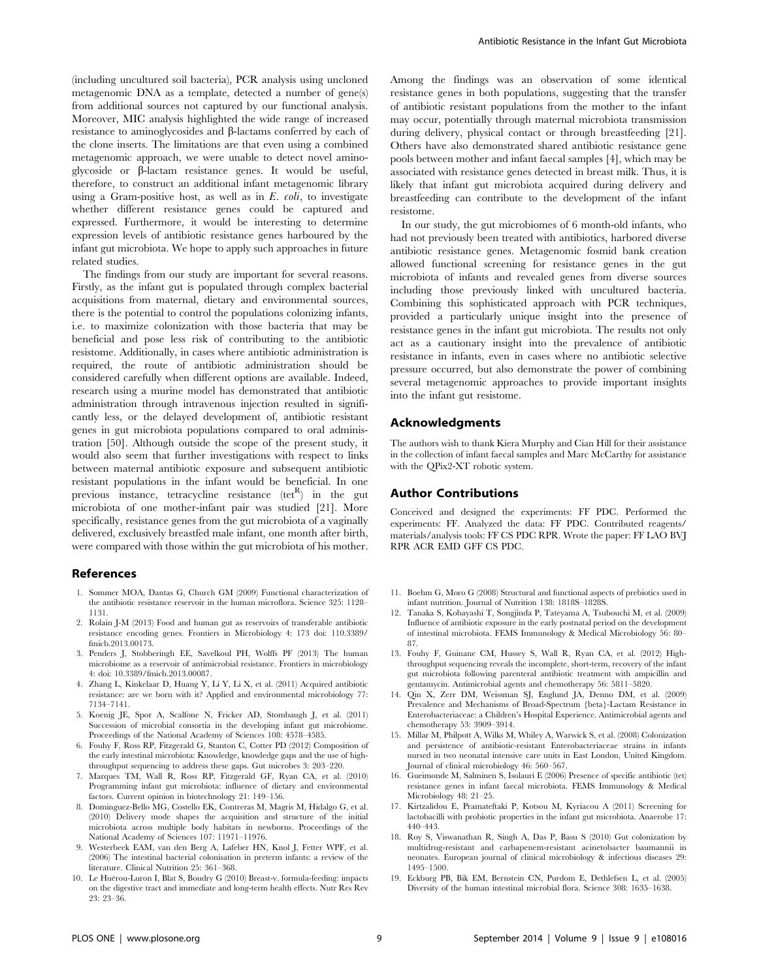(including uncultured soil bacteria), PCR analysis using uncloned metagenomic DNA as a template, detected a number of gene(s) from additional sources not captured by our functional analysis. Moreover, MIC analysis highlighted the wide range of increased resistance to aminoglycosides and  $\beta$ -lactams conferred by each of the clone inserts. The limitations are that even using a combined metagenomic approach, we were unable to detect novel aminoglycoside or  $\beta$ -lactam resistance genes. It would be useful, therefore, to construct an additional infant metagenomic library using a Gram-positive host, as well as in  $E$ .  $\text{coli}$ , to investigate whether different resistance genes could be captured and expressed. Furthermore, it would be interesting to determine expression levels of antibiotic resistance genes harboured by the infant gut microbiota. We hope to apply such approaches in future related studies.

The findings from our study are important for several reasons. Firstly, as the infant gut is populated through complex bacterial acquisitions from maternal, dietary and environmental sources, there is the potential to control the populations colonizing infants, i.e. to maximize colonization with those bacteria that may be beneficial and pose less risk of contributing to the antibiotic resistome. Additionally, in cases where antibiotic administration is required, the route of antibiotic administration should be considered carefully when different options are available. Indeed, research using a murine model has demonstrated that antibiotic administration through intravenous injection resulted in significantly less, or the delayed development of, antibiotic resistant genes in gut microbiota populations compared to oral administration [50]. Although outside the scope of the present study, it would also seem that further investigations with respect to links between maternal antibiotic exposure and subsequent antibiotic resistant populations in the infant would be beneficial. In one previous instance, tetracycline resistance  $(\text{tet}^R)$  in the gut microbiota of one mother-infant pair was studied [21]. More specifically, resistance genes from the gut microbiota of a vaginally delivered, exclusively breastfed male infant, one month after birth, were compared with those within the gut microbiota of his mother.

#### References

- 1. Sommer MOA, Dantas G, Church GM (2009) Functional characterization of the antibiotic resistance reservoir in the human microflora. Science 325: 1128– 1131.
- 2. Rolain J-M (2013) Food and human gut as reservoirs of transferable antibiotic resistance encoding genes. Frontiers in Microbiology 4: 173 doi: 110.3389/ fmicb.2013.00173.
- 3. Penders J, Stobberingh EE, Savelkoul PH, Wolffs PF (2013) The human microbiome as a reservoir of antimicrobial resistance. Frontiers in microbiology 4: doi: 10.3389/fmicb.2013.00087.
- 4. Zhang L, Kinkelaar D, Huang Y, Li Y, Li X, et al. (2011) Acquired antibiotic resistance: are we born with it? Applied and environmental microbiology 77: 7134–7141.
- 5. Koenig JE, Spor A, Scalfone N, Fricker AD, Stombaugh J, et al. (2011) Succession of microbial consortia in the developing infant gut microbiome. Proceedings of the National Academy of Sciences 108: 4578–4585.
- 6. Fouhy F, Ross RP, Fitzgerald G, Stanton C, Cotter PD (2012) Composition of the early intestinal microbiota: Knowledge, knowledge gaps and the use of highthroughput sequencing to address these gaps. Gut microbes 3: 203–220.
- 7. Marques TM, Wall R, Ross RP, Fitzgerald GF, Ryan CA, et al. (2010) Programming infant gut microbiota: influence of dietary and environmental factors. Current opinion in biotechnology 21: 149–156.
- 8. Dominguez-Bello MG, Costello EK, Contreras M, Magris M, Hidalgo G, et al. (2010) Delivery mode shapes the acquisition and structure of the initial microbiota across multiple body habitats in newborns. Proceedings of the National Academy of Sciences 107: 11971–11976.
- 9. Westerbeek EAM, van den Berg A, Lafeber HN, Knol J, Fetter WPF, et al. (2006) The intestinal bacterial colonisation in preterm infants: a review of the literature. Clinical Nutrition 25: 361–368.
- 10. Le Huërou-Luron I, Blat S, Boudry G (2010) Breast-v. formula-feeding: impacts on the digestive tract and immediate and long-term health effects. Nutr Res Rev 23: 23–36.

Among the findings was an observation of some identical resistance genes in both populations, suggesting that the transfer of antibiotic resistant populations from the mother to the infant may occur, potentially through maternal microbiota transmission during delivery, physical contact or through breastfeeding [21]. Others have also demonstrated shared antibiotic resistance gene pools between mother and infant faecal samples [4], which may be associated with resistance genes detected in breast milk. Thus, it is likely that infant gut microbiota acquired during delivery and breastfeeding can contribute to the development of the infant resistome.

In our study, the gut microbiomes of 6 month-old infants, who had not previously been treated with antibiotics, harbored diverse antibiotic resistance genes. Metagenomic fosmid bank creation allowed functional screening for resistance genes in the gut microbiota of infants and revealed genes from diverse sources including those previously linked with uncultured bacteria. Combining this sophisticated approach with PCR techniques, provided a particularly unique insight into the presence of resistance genes in the infant gut microbiota. The results not only act as a cautionary insight into the prevalence of antibiotic resistance in infants, even in cases where no antibiotic selective pressure occurred, but also demonstrate the power of combining several metagenomic approaches to provide important insights into the infant gut resistome.

#### Acknowledgments

The authors wish to thank Kiera Murphy and Cian Hill for their assistance in the collection of infant faecal samples and Marc McCarthy for assistance with the QPix2-XT robotic system.

# Author Contributions

Conceived and designed the experiments: FF PDC. Performed the experiments: FF. Analyzed the data: FF PDC. Contributed reagents/ materials/analysis tools: FF CS PDC RPR. Wrote the paper: FF LAO BVJ RPR ACR EMD GFF CS PDC.

- 11. Boehm G, Moro G (2008) Structural and functional aspects of prebiotics used in infant nutrition. Journal of Nutrition 138: 1818S–1828S.
- 12. Tanaka S, Kobayashi T, Songjinda P, Tateyama A, Tsubouchi M, et al. (2009) Influence of antibiotic exposure in the early postnatal period on the development of intestinal microbiota. FEMS Immunology & Medical Microbiology 56: 80– 87.
- 13. Fouhy F, Guinane CM, Hussey S, Wall R, Ryan CA, et al. (2012) Highthroughput sequencing reveals the incomplete, short-term, recovery of the infant gut microbiota following parenteral antibiotic treatment with ampicillin and gentamycin. Antimicrobial agents and chemotherapy 56: 5811–5820.
- 14. Qin X, Zerr DM, Weissman SJ, Englund JA, Denno DM, et al. (2009) Prevalence and Mechanisms of Broad-Spectrum {beta}-Lactam Resistance in Enterobacteriaceae: a Children's Hospital Experience. Antimicrobial agents and chemotherapy 53: 3909–3914.
- 15. Millar M, Philpott A, Wilks M, Whiley A, Warwick S, et al. (2008) Colonization and persistence of antibiotic-resistant Enterobacteriaceae strains in infants nursed in two neonatal intensive care units in East London, United Kingdom. Journal of clinical microbiology 46: 560–567.
- 16. Gueimonde M, Salminen S, Isolauri E (2006) Presence of specific antibiotic (tet) resistance genes in infant faecal microbiota. FEMS Immunology & Medical Microbiology 48: 21–25.
- 17. Kirtzalidou E, Pramateftaki P, Kotsou M, Kyriacou A (2011) Screening for lactobacilli with probiotic properties in the infant gut microbiota. Anaerobe 17: 440–443.
- 18. Roy S, Viswanathan R, Singh A, Das P, Basu S (2010) Gut colonization by multidrug-resistant and carbapenem-resistant acinetobacter baumannii in neonates. European journal of clinical microbiology & infectious diseases 29: 1495–1500.
- 19. Eckburg PB, Bik EM, Bernstein CN, Purdom E, Dethlefsen L, et al. (2005) Diversity of the human intestinal microbial flora. Science 308: 1635–1638.